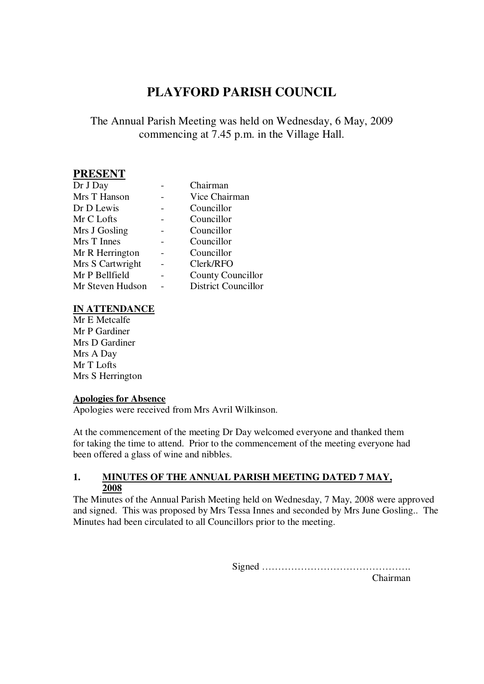# **PLAYFORD PARISH COUNCIL**

# The Annual Parish Meeting was held on Wednesday, 6 May, 2009 commencing at 7.45 p.m. in the Village Hall.

## **PRESENT**

| Dr J Day         | Chairman                   |
|------------------|----------------------------|
| Mrs T Hanson     | Vice Chairman              |
| Dr D Lewis       | Councillor                 |
| Mr C Lofts       | Councillor                 |
| Mrs J Gosling    | Councillor                 |
| Mrs T Innes      | Councillor                 |
| Mr R Herrington  | Councillor                 |
| Mrs S Cartwright | Clerk/RFO                  |
| Mr P Bellfield   | County Councillor          |
| Mr Steven Hudson | <b>District Councillor</b> |

#### **IN ATTENDANCE**

Mr E Metcalfe Mr P Gardiner Mrs D Gardiner Mrs A Day Mr T Lofts Mrs S Herrington

#### **Apologies for Absence**

Apologies were received from Mrs Avril Wilkinson.

At the commencement of the meeting Dr Day welcomed everyone and thanked them for taking the time to attend. Prior to the commencement of the meeting everyone had been offered a glass of wine and nibbles.

#### **1. MINUTES OF THE ANNUAL PARISH MEETING DATED 7 MAY, 2008**

The Minutes of the Annual Parish Meeting held on Wednesday, 7 May, 2008 were approved and signed. This was proposed by Mrs Tessa Innes and seconded by Mrs June Gosling.. The Minutes had been circulated to all Councillors prior to the meeting.

Signed ……………………………………….

Chairman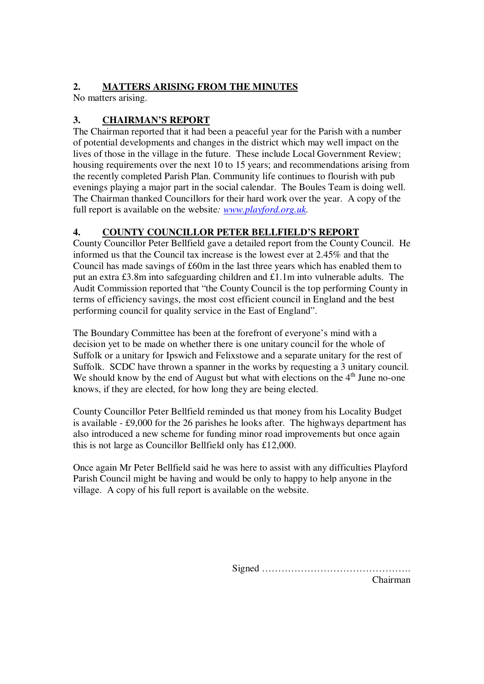### **2. MATTERS ARISING FROM THE MINUTES**

No matters arising.

# **3. CHAIRMAN'S REPORT**

The Chairman reported that it had been a peaceful year for the Parish with a number of potential developments and changes in the district which may well impact on the lives of those in the village in the future. These include Local Government Review; housing requirements over the next 10 to 15 years; and recommendations arising from the recently completed Parish Plan. Community life continues to flourish with pub evenings playing a major part in the social calendar. The Boules Team is doing well. The Chairman thanked Councillors for their hard work over the year. A copy of the full report is available on the website*: www.playford.org.uk.*

### **4. COUNTY COUNCILLOR PETER BELLFIELD'S REPORT**

County Councillor Peter Bellfield gave a detailed report from the County Council. He informed us that the Council tax increase is the lowest ever at 2.45% and that the Council has made savings of £60m in the last three years which has enabled them to put an extra £3.8m into safeguarding children and £1.1m into vulnerable adults. The Audit Commission reported that "the County Council is the top performing County in terms of efficiency savings, the most cost efficient council in England and the best performing council for quality service in the East of England".

The Boundary Committee has been at the forefront of everyone's mind with a decision yet to be made on whether there is one unitary council for the whole of Suffolk or a unitary for Ipswich and Felixstowe and a separate unitary for the rest of Suffolk. SCDC have thrown a spanner in the works by requesting a 3 unitary council. We should know by the end of August but what with elections on the  $4<sup>th</sup>$  June no-one knows, if they are elected, for how long they are being elected.

County Councillor Peter Bellfield reminded us that money from his Locality Budget is available - £9,000 for the 26 parishes he looks after. The highways department has also introduced a new scheme for funding minor road improvements but once again this is not large as Councillor Bellfield only has £12,000.

Once again Mr Peter Bellfield said he was here to assist with any difficulties Playford Parish Council might be having and would be only to happy to help anyone in the village. A copy of his full report is available on the website.

Signed ……………………………………….

Chairman